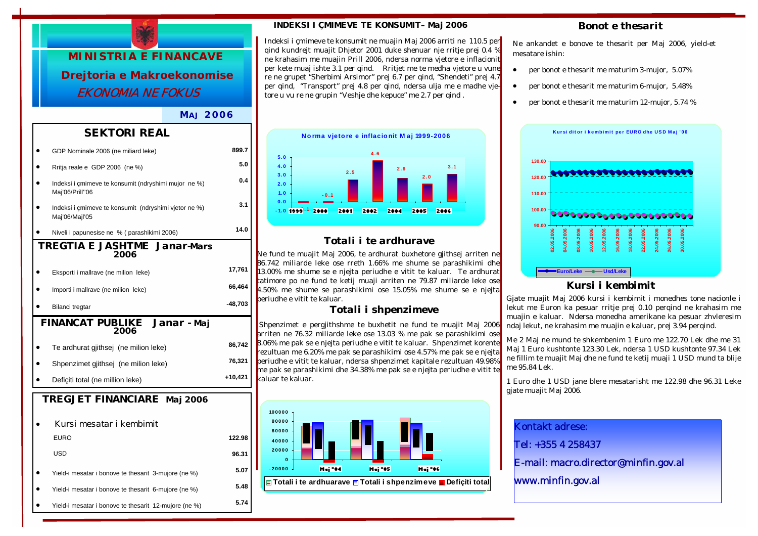

#### *MA J 2006*

### *SEKTORI REAL*

|                                             | GDP Nominale 2006 (ne miliard leke)                                     | 899.7     |  |  |
|---------------------------------------------|-------------------------------------------------------------------------|-----------|--|--|
|                                             | Rritja reale e GDP 2006 (ne %)                                          | 5.0       |  |  |
|                                             | Indeksi i çmimeve te konsumit (ndryshimi mujor ne %)<br>Maj'06/Prill"06 | 0.4       |  |  |
|                                             | Indeksi i çmimeve te konsumit (ndryshimi vjetor ne %)<br>Maj'06/Majl'05 | 3.1       |  |  |
|                                             | Niveli i papunesise ne % (parashikimi 2006)                             | 14.0      |  |  |
|                                             | <b>TREGTIA E JASHTME Janar-Mars</b><br>2006                             |           |  |  |
|                                             | Eksporti i mallrave (ne milion leke)                                    | 17,761    |  |  |
|                                             | Importi i mallrave (ne milion leke)                                     | 66,464    |  |  |
|                                             | Bilanci tregtar                                                         | $-48,703$ |  |  |
| <b>FINANCAT PUBLIKE Janar - Maj</b><br>2006 |                                                                         |           |  |  |
|                                             |                                                                         |           |  |  |
|                                             | Te ardhurat gjithsej (ne milion leke)                                   | 86,742    |  |  |
|                                             | Shpenzimet gjithsej (ne milion leke)                                    | 76,321    |  |  |
|                                             | Deficiti total (ne million leke)                                        | +10,421   |  |  |
|                                             | TREGJET FINANCIARE Maj 2006                                             |           |  |  |
|                                             | Kursi mesatar i kembimit                                                |           |  |  |
|                                             | <b>EURO</b>                                                             | 122.98    |  |  |
|                                             | USD                                                                     | 96.31     |  |  |
|                                             | Yield-i mesatar i bonove te thesarit 3-mujore (ne %)                    | 5.07      |  |  |
|                                             | Yield-i mesatar i bonove te thesarit 6-mujore (ne %)                    | 5.48      |  |  |

#### *INDEKSI I ÇMIMEVE TE KONSUMIT– Maj 2006*

Indeksi i çmimeve te konsumit ne muajin Maj 2006 arriti ne 110.5 per qind kundrejt muajit Dhjetor 2001 duke shenuar nje rritje prej 0.4 % ne krahasim me muajin Prill 2006, ndersa norma vjetore e inflacionit per kete muaj ishte 3.1 per qind. Rritjet me te medha vjetore u vune re ne grupet "Sherbimi Arsimor" prej 6.7 per qind, "Shendeti" prej 4.7 per qind, "Transport" prej 4.8 per qind, ndersa ulja me e madhe vjetore u vu re ne grupin "Veshje dhe kepuce" me 2.7 per qind .



## *Totali i te ardhurave*

Ne fund te muajit Maj 2006, te ardhurat buxhetore gjithsej arriten ne 86.742 miliarde leke ose rreth 1.66% me shume se parashikimi dhe 13.00% me shume se e njejta periudhe e vitit te kaluar. Te ardhurat tatimore po ne fund te ketij muaji arriten ne 79.87 miliarde leke ose 4.50% me shume se parashikimi ose 15.05% me shume se e njejta periudhe e vitit te kaluar.

#### *Totali i shpenzimeve*

 Shpenzimet e pergjithshme te buxhetit ne fund te muajit Maj 2006 arriten ne 76.32 miliarde leke ose 13.03 % me pak se parashikimi ose 8.06% me pak se e njejta periudhe e vitit te kaluar. Shpenzimet korente rezultuan me 6.20% me pak se parashikimi ose 4.57% me pak se e njejta periudhe e vitit te kaluar, ndersa shpenzimet kapitale rezultuan 49.98% me pak se parashikimi dhe 34.38% me pak se e njejta periudhe e vitit te kaluar te kaluar.



#### *Bonot e thesarit*

Ne ankandet e bonove te thesarit per Maj 2006, yield-et mesatare ishin:

- per bonot e thesarit me maturim 3-mujor, 5.07%
- per bonot e thesarit me maturim 6-mujor, 5.48%
- per bonot e thesarit me maturim 12-mujor, 5.74 %



### *Kursi i kembimit*

Gjate muajit Maj 2006 kursi i kembimit i monedhes tone nacionle i lekut me Euron ka pesuar rritje prej 0.10 perqind ne krahasim me muajin e kaluar. Ndersa monedha amerikane ka pesuar zhvleresim ndaj lekut, ne krahasim me muajin e kaluar, prej 3.94 perqind.

Me 2 Maj ne mund te shkembenim 1 Euro me 122.70 Lek dhe me 31 Maj 1 Euro kushtonte 123.30 Lek, ndersa 1 USD kushtonte 97.34 Lek ne fillim te muajit Maj dhe ne fund te ketij muaji 1 USD mund ta blije me 95.84 Lek.

1 Euro dhe 1 USD jane blere mesatarisht me 122.98 dhe 96.31 Leke gjate muajit Maj 2006.

Kontakt adrese:

Tel: +355 4 258437

E-mail: macro.director@minfin.gov.al

www.minfin.gov.al